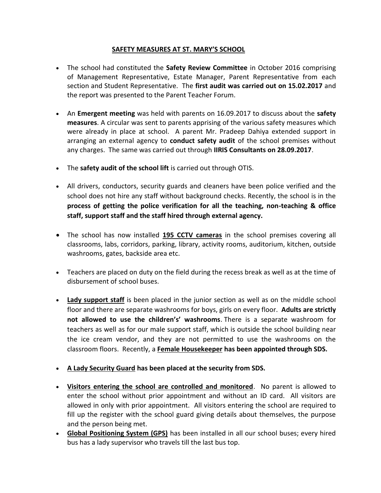## **SAFETY MEASURES AT ST. MARY'S SCHOOL**

- The school had constituted the **Safety Review Committee** in October 2016 comprising of Management Representative, Estate Manager, Parent Representative from each section and Student Representative. The **first audit was carried out on 15.02.2017** and the report was presented to the Parent Teacher Forum.
- An **Emergent meeting** was held with parents on 16.09.2017 to discuss about the **safety measures**. A circular was sent to parents apprising of the various safety measures which were already in place at school. A parent Mr. Pradeep Dahiya extended support in arranging an external agency to **conduct safety audit** of the school premises without any charges. The same was carried out through **IIRIS Consultants on 28.09.2017**.
- The **safety audit of the school lift** is carried out through OTIS.
- All drivers, conductors, security guards and cleaners have been police verified and the school does not hire any staff without background checks. Recently, the school is in the **process of getting the police verification for all the teaching, non-teaching & office staff, support staff and the staff hired through external agency.**
- The school has now installed **195 CCTV cameras** in the school premises covering all classrooms, labs, corridors, parking, library, activity rooms, auditorium, kitchen, outside washrooms, gates, backside area etc.
- Teachers are placed on duty on the field during the recess break as well as at the time of disbursement of school buses.
- **Lady support staff** is been placed in the junior section as well as on the middle school floor and there are separate washrooms for boys, girls on every floor. **Adults are strictly not allowed to use the children's' washrooms**. There is a separate washroom for teachers as well as for our male support staff, which is outside the school building near the ice cream vendor, and they are not permitted to use the washrooms on the classroom floors. Recently, a **Female Housekeeper has been appointed through SDS.**
- **A Lady Security Guard has been placed at the security from SDS.**
- **Visitors entering the school are controlled and monitored**. No parent is allowed to enter the school without prior appointment and without an ID card. All visitors are allowed in only with prior appointment. All visitors entering the school are required to fill up the register with the school guard giving details about themselves, the purpose and the person being met.
- **Global Positioning System (GPS)** has been installed in all our school buses; every hired bus has a lady supervisor who travels till the last bus top.